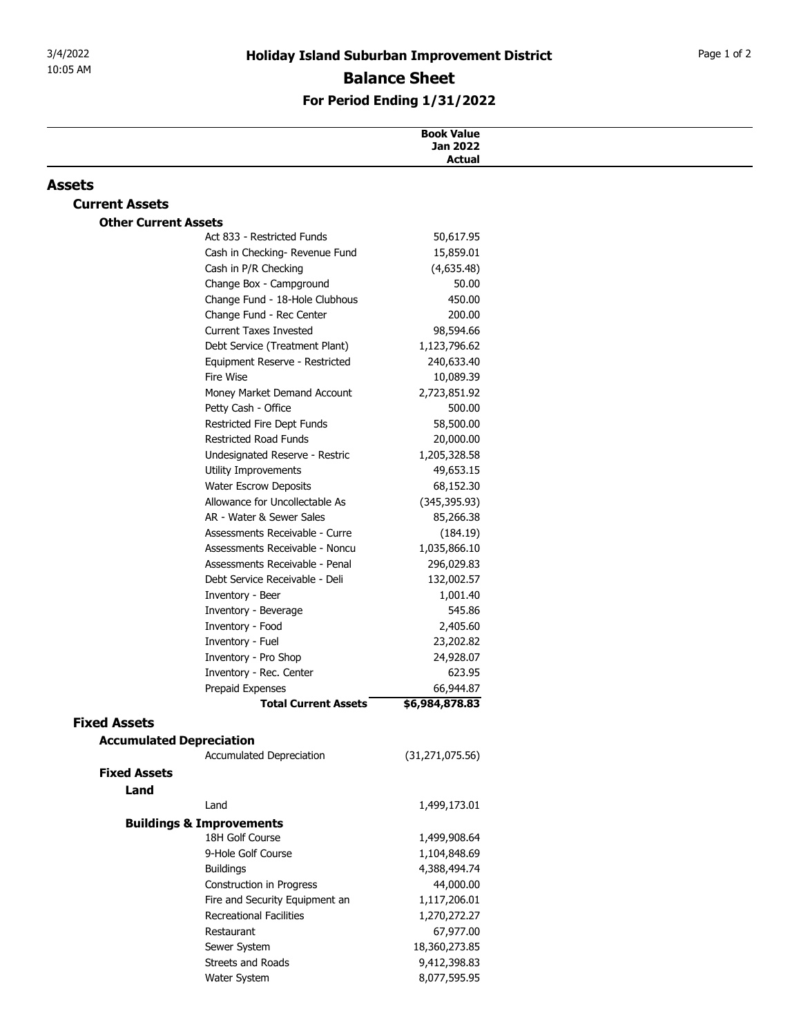## For Period Ending 1/31/2022

| <b>Holiday Island Suburban Improvement District</b><br>10:05 AM<br><b>Balance Sheet</b><br>For Period Ending 1/31/2022<br><b>Book Value</b><br>Jan 2022<br>Actual<br><b>Assets</b><br><b>Current Assets</b><br><b>Other Current Assets</b><br>Act 833 - Restricted Funds<br>50,617.95<br>Cash in Checking- Revenue Fund<br>15,859.01<br>Cash in P/R Checking<br>(4,635.48)<br>Change Box - Campground<br>50.00<br>Change Fund - 18-Hole Clubhous<br>450.00<br>Change Fund - Rec Center<br>200.00<br><b>Current Taxes Invested</b><br>98,594.66<br>Debt Service (Treatment Plant)<br>1,123,796.62<br>240,633.40<br>Equipment Reserve - Restricted<br>Fire Wise<br>10,089.39<br>Money Market Demand Account<br>2,723,851.92<br>500.00<br>Petty Cash - Office<br>Restricted Fire Dept Funds<br>58,500.00<br>Restricted Road Funds<br>20,000.00<br>Undesignated Reserve - Restric<br>1,205,328.58<br>Utility Improvements<br>49,653.15<br><b>Water Escrow Deposits</b><br>68,152.30<br>Allowance for Uncollectable As<br>(345, 395.93)<br>AR - Water & Sewer Sales<br>85,266.38<br>Assessments Receivable - Curre<br>(184.19)<br>Assessments Receivable - Noncu<br>1,035,866.10<br>Assessments Receivable - Penal<br>296,029.83<br>Debt Service Receivable - Deli<br>132,002.57<br>Inventory - Beer<br>1,001.40<br>545.86<br>Inventory - Beverage<br>Inventory - Food<br>2,405.60<br>Inventory - Fuel<br>23,202.82<br>Inventory - Pro Shop<br>24,928.07<br>Inventory - Rec. Center<br>623.95<br>66,944.87<br>Prepaid Expenses<br>\$6,984,878.83<br><b>Total Current Assets</b><br><b>Fixed Assets</b><br><b>Accumulated Depreciation</b><br>Accumulated Depreciation<br>(31, 271, 075.56)<br><b>Fixed Assets</b> |  |
|--------------------------------------------------------------------------------------------------------------------------------------------------------------------------------------------------------------------------------------------------------------------------------------------------------------------------------------------------------------------------------------------------------------------------------------------------------------------------------------------------------------------------------------------------------------------------------------------------------------------------------------------------------------------------------------------------------------------------------------------------------------------------------------------------------------------------------------------------------------------------------------------------------------------------------------------------------------------------------------------------------------------------------------------------------------------------------------------------------------------------------------------------------------------------------------------------------------------------------------------------------------------------------------------------------------------------------------------------------------------------------------------------------------------------------------------------------------------------------------------------------------------------------------------------------------------------------------------------------------------------------------------------------------------------------------------------------------|--|
|                                                                                                                                                                                                                                                                                                                                                                                                                                                                                                                                                                                                                                                                                                                                                                                                                                                                                                                                                                                                                                                                                                                                                                                                                                                                                                                                                                                                                                                                                                                                                                                                                                                                                                              |  |
|                                                                                                                                                                                                                                                                                                                                                                                                                                                                                                                                                                                                                                                                                                                                                                                                                                                                                                                                                                                                                                                                                                                                                                                                                                                                                                                                                                                                                                                                                                                                                                                                                                                                                                              |  |
|                                                                                                                                                                                                                                                                                                                                                                                                                                                                                                                                                                                                                                                                                                                                                                                                                                                                                                                                                                                                                                                                                                                                                                                                                                                                                                                                                                                                                                                                                                                                                                                                                                                                                                              |  |
|                                                                                                                                                                                                                                                                                                                                                                                                                                                                                                                                                                                                                                                                                                                                                                                                                                                                                                                                                                                                                                                                                                                                                                                                                                                                                                                                                                                                                                                                                                                                                                                                                                                                                                              |  |
|                                                                                                                                                                                                                                                                                                                                                                                                                                                                                                                                                                                                                                                                                                                                                                                                                                                                                                                                                                                                                                                                                                                                                                                                                                                                                                                                                                                                                                                                                                                                                                                                                                                                                                              |  |
|                                                                                                                                                                                                                                                                                                                                                                                                                                                                                                                                                                                                                                                                                                                                                                                                                                                                                                                                                                                                                                                                                                                                                                                                                                                                                                                                                                                                                                                                                                                                                                                                                                                                                                              |  |
|                                                                                                                                                                                                                                                                                                                                                                                                                                                                                                                                                                                                                                                                                                                                                                                                                                                                                                                                                                                                                                                                                                                                                                                                                                                                                                                                                                                                                                                                                                                                                                                                                                                                                                              |  |
|                                                                                                                                                                                                                                                                                                                                                                                                                                                                                                                                                                                                                                                                                                                                                                                                                                                                                                                                                                                                                                                                                                                                                                                                                                                                                                                                                                                                                                                                                                                                                                                                                                                                                                              |  |
|                                                                                                                                                                                                                                                                                                                                                                                                                                                                                                                                                                                                                                                                                                                                                                                                                                                                                                                                                                                                                                                                                                                                                                                                                                                                                                                                                                                                                                                                                                                                                                                                                                                                                                              |  |
|                                                                                                                                                                                                                                                                                                                                                                                                                                                                                                                                                                                                                                                                                                                                                                                                                                                                                                                                                                                                                                                                                                                                                                                                                                                                                                                                                                                                                                                                                                                                                                                                                                                                                                              |  |
|                                                                                                                                                                                                                                                                                                                                                                                                                                                                                                                                                                                                                                                                                                                                                                                                                                                                                                                                                                                                                                                                                                                                                                                                                                                                                                                                                                                                                                                                                                                                                                                                                                                                                                              |  |
|                                                                                                                                                                                                                                                                                                                                                                                                                                                                                                                                                                                                                                                                                                                                                                                                                                                                                                                                                                                                                                                                                                                                                                                                                                                                                                                                                                                                                                                                                                                                                                                                                                                                                                              |  |
|                                                                                                                                                                                                                                                                                                                                                                                                                                                                                                                                                                                                                                                                                                                                                                                                                                                                                                                                                                                                                                                                                                                                                                                                                                                                                                                                                                                                                                                                                                                                                                                                                                                                                                              |  |
|                                                                                                                                                                                                                                                                                                                                                                                                                                                                                                                                                                                                                                                                                                                                                                                                                                                                                                                                                                                                                                                                                                                                                                                                                                                                                                                                                                                                                                                                                                                                                                                                                                                                                                              |  |
|                                                                                                                                                                                                                                                                                                                                                                                                                                                                                                                                                                                                                                                                                                                                                                                                                                                                                                                                                                                                                                                                                                                                                                                                                                                                                                                                                                                                                                                                                                                                                                                                                                                                                                              |  |
|                                                                                                                                                                                                                                                                                                                                                                                                                                                                                                                                                                                                                                                                                                                                                                                                                                                                                                                                                                                                                                                                                                                                                                                                                                                                                                                                                                                                                                                                                                                                                                                                                                                                                                              |  |
|                                                                                                                                                                                                                                                                                                                                                                                                                                                                                                                                                                                                                                                                                                                                                                                                                                                                                                                                                                                                                                                                                                                                                                                                                                                                                                                                                                                                                                                                                                                                                                                                                                                                                                              |  |
|                                                                                                                                                                                                                                                                                                                                                                                                                                                                                                                                                                                                                                                                                                                                                                                                                                                                                                                                                                                                                                                                                                                                                                                                                                                                                                                                                                                                                                                                                                                                                                                                                                                                                                              |  |
|                                                                                                                                                                                                                                                                                                                                                                                                                                                                                                                                                                                                                                                                                                                                                                                                                                                                                                                                                                                                                                                                                                                                                                                                                                                                                                                                                                                                                                                                                                                                                                                                                                                                                                              |  |
|                                                                                                                                                                                                                                                                                                                                                                                                                                                                                                                                                                                                                                                                                                                                                                                                                                                                                                                                                                                                                                                                                                                                                                                                                                                                                                                                                                                                                                                                                                                                                                                                                                                                                                              |  |
|                                                                                                                                                                                                                                                                                                                                                                                                                                                                                                                                                                                                                                                                                                                                                                                                                                                                                                                                                                                                                                                                                                                                                                                                                                                                                                                                                                                                                                                                                                                                                                                                                                                                                                              |  |
|                                                                                                                                                                                                                                                                                                                                                                                                                                                                                                                                                                                                                                                                                                                                                                                                                                                                                                                                                                                                                                                                                                                                                                                                                                                                                                                                                                                                                                                                                                                                                                                                                                                                                                              |  |
|                                                                                                                                                                                                                                                                                                                                                                                                                                                                                                                                                                                                                                                                                                                                                                                                                                                                                                                                                                                                                                                                                                                                                                                                                                                                                                                                                                                                                                                                                                                                                                                                                                                                                                              |  |
|                                                                                                                                                                                                                                                                                                                                                                                                                                                                                                                                                                                                                                                                                                                                                                                                                                                                                                                                                                                                                                                                                                                                                                                                                                                                                                                                                                                                                                                                                                                                                                                                                                                                                                              |  |
|                                                                                                                                                                                                                                                                                                                                                                                                                                                                                                                                                                                                                                                                                                                                                                                                                                                                                                                                                                                                                                                                                                                                                                                                                                                                                                                                                                                                                                                                                                                                                                                                                                                                                                              |  |
|                                                                                                                                                                                                                                                                                                                                                                                                                                                                                                                                                                                                                                                                                                                                                                                                                                                                                                                                                                                                                                                                                                                                                                                                                                                                                                                                                                                                                                                                                                                                                                                                                                                                                                              |  |
|                                                                                                                                                                                                                                                                                                                                                                                                                                                                                                                                                                                                                                                                                                                                                                                                                                                                                                                                                                                                                                                                                                                                                                                                                                                                                                                                                                                                                                                                                                                                                                                                                                                                                                              |  |
|                                                                                                                                                                                                                                                                                                                                                                                                                                                                                                                                                                                                                                                                                                                                                                                                                                                                                                                                                                                                                                                                                                                                                                                                                                                                                                                                                                                                                                                                                                                                                                                                                                                                                                              |  |
|                                                                                                                                                                                                                                                                                                                                                                                                                                                                                                                                                                                                                                                                                                                                                                                                                                                                                                                                                                                                                                                                                                                                                                                                                                                                                                                                                                                                                                                                                                                                                                                                                                                                                                              |  |
|                                                                                                                                                                                                                                                                                                                                                                                                                                                                                                                                                                                                                                                                                                                                                                                                                                                                                                                                                                                                                                                                                                                                                                                                                                                                                                                                                                                                                                                                                                                                                                                                                                                                                                              |  |
|                                                                                                                                                                                                                                                                                                                                                                                                                                                                                                                                                                                                                                                                                                                                                                                                                                                                                                                                                                                                                                                                                                                                                                                                                                                                                                                                                                                                                                                                                                                                                                                                                                                                                                              |  |
|                                                                                                                                                                                                                                                                                                                                                                                                                                                                                                                                                                                                                                                                                                                                                                                                                                                                                                                                                                                                                                                                                                                                                                                                                                                                                                                                                                                                                                                                                                                                                                                                                                                                                                              |  |
|                                                                                                                                                                                                                                                                                                                                                                                                                                                                                                                                                                                                                                                                                                                                                                                                                                                                                                                                                                                                                                                                                                                                                                                                                                                                                                                                                                                                                                                                                                                                                                                                                                                                                                              |  |
|                                                                                                                                                                                                                                                                                                                                                                                                                                                                                                                                                                                                                                                                                                                                                                                                                                                                                                                                                                                                                                                                                                                                                                                                                                                                                                                                                                                                                                                                                                                                                                                                                                                                                                              |  |
|                                                                                                                                                                                                                                                                                                                                                                                                                                                                                                                                                                                                                                                                                                                                                                                                                                                                                                                                                                                                                                                                                                                                                                                                                                                                                                                                                                                                                                                                                                                                                                                                                                                                                                              |  |
|                                                                                                                                                                                                                                                                                                                                                                                                                                                                                                                                                                                                                                                                                                                                                                                                                                                                                                                                                                                                                                                                                                                                                                                                                                                                                                                                                                                                                                                                                                                                                                                                                                                                                                              |  |
|                                                                                                                                                                                                                                                                                                                                                                                                                                                                                                                                                                                                                                                                                                                                                                                                                                                                                                                                                                                                                                                                                                                                                                                                                                                                                                                                                                                                                                                                                                                                                                                                                                                                                                              |  |
|                                                                                                                                                                                                                                                                                                                                                                                                                                                                                                                                                                                                                                                                                                                                                                                                                                                                                                                                                                                                                                                                                                                                                                                                                                                                                                                                                                                                                                                                                                                                                                                                                                                                                                              |  |
|                                                                                                                                                                                                                                                                                                                                                                                                                                                                                                                                                                                                                                                                                                                                                                                                                                                                                                                                                                                                                                                                                                                                                                                                                                                                                                                                                                                                                                                                                                                                                                                                                                                                                                              |  |
| Land<br>Land<br>1,499,173.01                                                                                                                                                                                                                                                                                                                                                                                                                                                                                                                                                                                                                                                                                                                                                                                                                                                                                                                                                                                                                                                                                                                                                                                                                                                                                                                                                                                                                                                                                                                                                                                                                                                                                 |  |
| <b>Buildings &amp; Improvements</b>                                                                                                                                                                                                                                                                                                                                                                                                                                                                                                                                                                                                                                                                                                                                                                                                                                                                                                                                                                                                                                                                                                                                                                                                                                                                                                                                                                                                                                                                                                                                                                                                                                                                          |  |
| 18H Golf Course<br>1,499,908.64                                                                                                                                                                                                                                                                                                                                                                                                                                                                                                                                                                                                                                                                                                                                                                                                                                                                                                                                                                                                                                                                                                                                                                                                                                                                                                                                                                                                                                                                                                                                                                                                                                                                              |  |
| 9-Hole Golf Course<br>1,104,848.69                                                                                                                                                                                                                                                                                                                                                                                                                                                                                                                                                                                                                                                                                                                                                                                                                                                                                                                                                                                                                                                                                                                                                                                                                                                                                                                                                                                                                                                                                                                                                                                                                                                                           |  |
| <b>Buildings</b><br>4,388,494.74                                                                                                                                                                                                                                                                                                                                                                                                                                                                                                                                                                                                                                                                                                                                                                                                                                                                                                                                                                                                                                                                                                                                                                                                                                                                                                                                                                                                                                                                                                                                                                                                                                                                             |  |
| Construction in Progress<br>44,000.00                                                                                                                                                                                                                                                                                                                                                                                                                                                                                                                                                                                                                                                                                                                                                                                                                                                                                                                                                                                                                                                                                                                                                                                                                                                                                                                                                                                                                                                                                                                                                                                                                                                                        |  |
| Fire and Security Equipment an<br>1,117,206.01                                                                                                                                                                                                                                                                                                                                                                                                                                                                                                                                                                                                                                                                                                                                                                                                                                                                                                                                                                                                                                                                                                                                                                                                                                                                                                                                                                                                                                                                                                                                                                                                                                                               |  |
| <b>Recreational Facilities</b><br>1,270,272.27                                                                                                                                                                                                                                                                                                                                                                                                                                                                                                                                                                                                                                                                                                                                                                                                                                                                                                                                                                                                                                                                                                                                                                                                                                                                                                                                                                                                                                                                                                                                                                                                                                                               |  |
| Restaurant<br>67,977.00                                                                                                                                                                                                                                                                                                                                                                                                                                                                                                                                                                                                                                                                                                                                                                                                                                                                                                                                                                                                                                                                                                                                                                                                                                                                                                                                                                                                                                                                                                                                                                                                                                                                                      |  |
| Sewer System<br>18,360,273.85<br>Streets and Roads<br>9,412,398.83                                                                                                                                                                                                                                                                                                                                                                                                                                                                                                                                                                                                                                                                                                                                                                                                                                                                                                                                                                                                                                                                                                                                                                                                                                                                                                                                                                                                                                                                                                                                                                                                                                           |  |
| Water System<br>8,077,595.95                                                                                                                                                                                                                                                                                                                                                                                                                                                                                                                                                                                                                                                                                                                                                                                                                                                                                                                                                                                                                                                                                                                                                                                                                                                                                                                                                                                                                                                                                                                                                                                                                                                                                 |  |